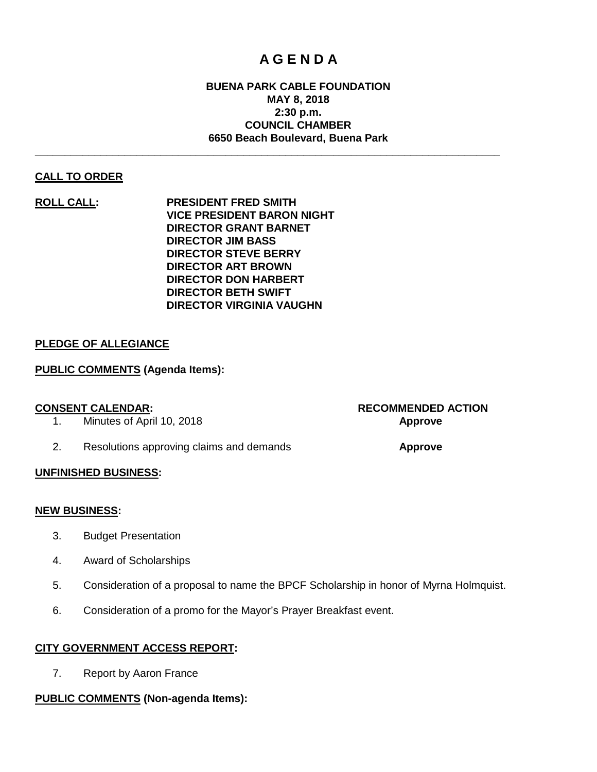# **A G E N D A**

#### **BUENA PARK CABLE FOUNDATION MAY 8, 2018 2:30 p.m. COUNCIL CHAMBER 6650 Beach Boulevard, Buena Park**

**\_\_\_\_\_\_\_\_\_\_\_\_\_\_\_\_\_\_\_\_\_\_\_\_\_\_\_\_\_\_\_\_\_\_\_\_\_\_\_\_\_\_\_\_\_\_\_\_\_\_\_\_\_\_\_\_\_\_\_\_\_\_\_\_\_\_\_\_\_\_\_\_\_\_\_\_\_\_**

### **CALL TO ORDER**

**ROLL CALL: PRESIDENT FRED SMITH VICE PRESIDENT BARON NIGHT DIRECTOR GRANT BARNET DIRECTOR JIM BASS DIRECTOR STEVE BERRY DIRECTOR ART BROWN DIRECTOR DON HARBERT DIRECTOR BETH SWIFT DIRECTOR VIRGINIA VAUGHN**

### **PLEDGE OF ALLEGIANCE**

### **PUBLIC COMMENTS (Agenda Items):**

- 1. Minutes of April 10, 2018 **Approve**
- 2. Resolutions approving claims and demands **Approve**

# **CONSENT CALENDAR: RECOMMENDED ACTION**

#### **UNFINISHED BUSINESS:**

#### **NEW BUSINESS:**

- 3. Budget Presentation
- 4. Award of Scholarships
- 5. Consideration of a proposal to name the BPCF Scholarship in honor of Myrna Holmquist.
- 6. Consideration of a promo for the Mayor's Prayer Breakfast event.

#### **CITY GOVERNMENT ACCESS REPORT:**

7. Report by Aaron France

#### **PUBLIC COMMENTS (Non-agenda Items):**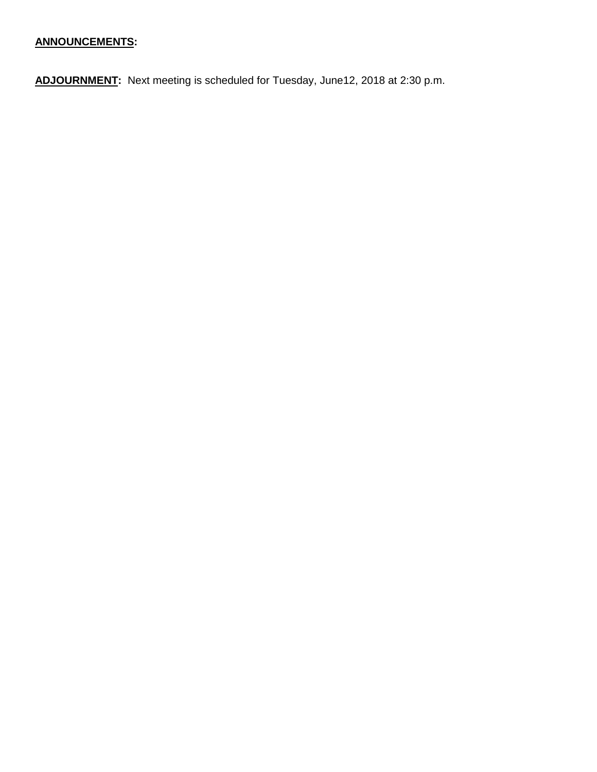# **ANNOUNCEMENTS:**

**ADJOURNMENT:** Next meeting is scheduled for Tuesday, June12, 2018 at 2:30 p.m.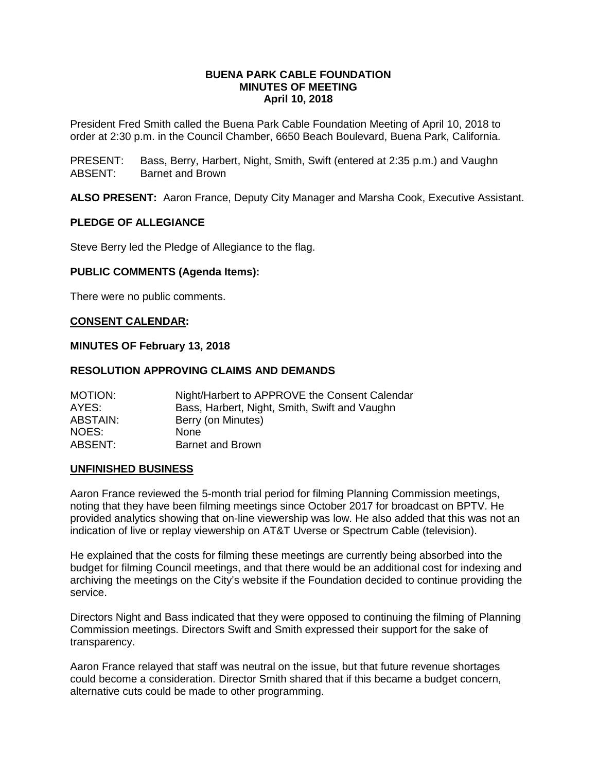#### **BUENA PARK CABLE FOUNDATION MINUTES OF MEETING April 10, 2018**

President Fred Smith called the Buena Park Cable Foundation Meeting of April 10, 2018 to order at 2:30 p.m. in the Council Chamber, 6650 Beach Boulevard, Buena Park, California.

PRESENT: Bass, Berry, Harbert, Night, Smith, Swift (entered at 2:35 p.m.) and Vaughn ABSENT: Barnet and Brown

**ALSO PRESENT:** Aaron France, Deputy City Manager and Marsha Cook, Executive Assistant.

#### **PLEDGE OF ALLEGIANCE**

Steve Berry led the Pledge of Allegiance to the flag.

#### **PUBLIC COMMENTS (Agenda Items):**

There were no public comments.

#### **CONSENT CALENDAR:**

#### **MINUTES OF February 13, 2018**

#### **RESOLUTION APPROVING CLAIMS AND DEMANDS**

| <b>MOTION:</b>  | Night/Harbert to APPROVE the Consent Calendar |
|-----------------|-----------------------------------------------|
| AYES:           | Bass, Harbert, Night, Smith, Swift and Vaughn |
| <b>ABSTAIN:</b> | Berry (on Minutes)                            |
| NOES:           | <b>None</b>                                   |
| ABSENT:         | <b>Barnet and Brown</b>                       |

#### **UNFINISHED BUSINESS**

Aaron France reviewed the 5-month trial period for filming Planning Commission meetings, noting that they have been filming meetings since October 2017 for broadcast on BPTV. He provided analytics showing that on-line viewership was low. He also added that this was not an indication of live or replay viewership on AT&T Uverse or Spectrum Cable (television).

He explained that the costs for filming these meetings are currently being absorbed into the budget for filming Council meetings, and that there would be an additional cost for indexing and archiving the meetings on the City's website if the Foundation decided to continue providing the service.

Directors Night and Bass indicated that they were opposed to continuing the filming of Planning Commission meetings. Directors Swift and Smith expressed their support for the sake of transparency.

Aaron France relayed that staff was neutral on the issue, but that future revenue shortages could become a consideration. Director Smith shared that if this became a budget concern, alternative cuts could be made to other programming.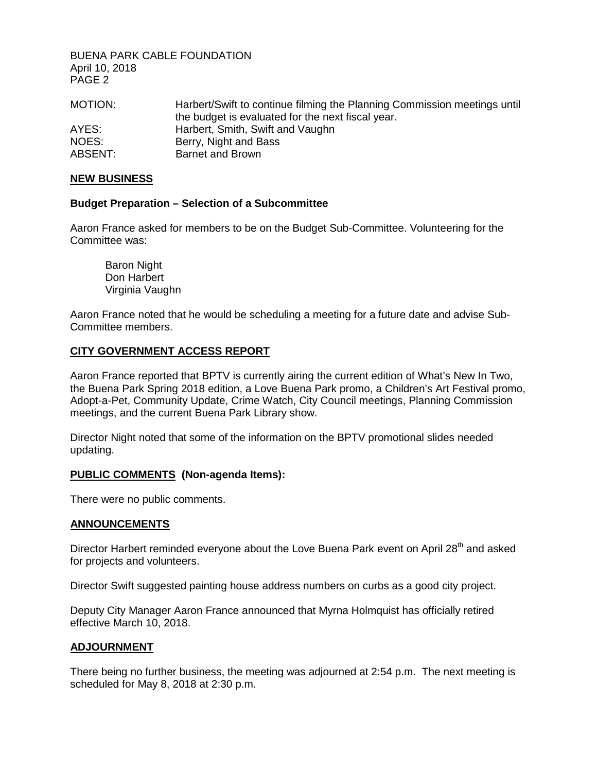BUENA PARK CABLE FOUNDATION April 10, 2018 PAGE 2

| MOTION: | Harbert/Swift to continue filming the Planning Commission meetings until |
|---------|--------------------------------------------------------------------------|
|         | the budget is evaluated for the next fiscal year.                        |
| AYES:   | Harbert, Smith, Swift and Vaughn                                         |
| NOES:   | Berry, Night and Bass                                                    |
| ABSENT: | Barnet and Brown                                                         |

#### **NEW BUSINESS**

#### **Budget Preparation – Selection of a Subcommittee**

Aaron France asked for members to be on the Budget Sub-Committee. Volunteering for the Committee was:

Baron Night Don Harbert Virginia Vaughn

Aaron France noted that he would be scheduling a meeting for a future date and advise Sub-Committee members.

#### **CITY GOVERNMENT ACCESS REPORT**

Aaron France reported that BPTV is currently airing the current edition of What's New In Two, the Buena Park Spring 2018 edition, a Love Buena Park promo, a Children's Art Festival promo, Adopt-a-Pet, Community Update, Crime Watch, City Council meetings, Planning Commission meetings, and the current Buena Park Library show.

Director Night noted that some of the information on the BPTV promotional slides needed updating.

#### **PUBLIC COMMENTS (Non-agenda Items):**

There were no public comments.

#### **ANNOUNCEMENTS**

Director Harbert reminded everyone about the Love Buena Park event on April 28<sup>th</sup> and asked for projects and volunteers.

Director Swift suggested painting house address numbers on curbs as a good city project.

Deputy City Manager Aaron France announced that Myrna Holmquist has officially retired effective March 10, 2018.

#### **ADJOURNMENT**

There being no further business, the meeting was adjourned at 2:54 p.m. The next meeting is scheduled for May 8, 2018 at 2:30 p.m.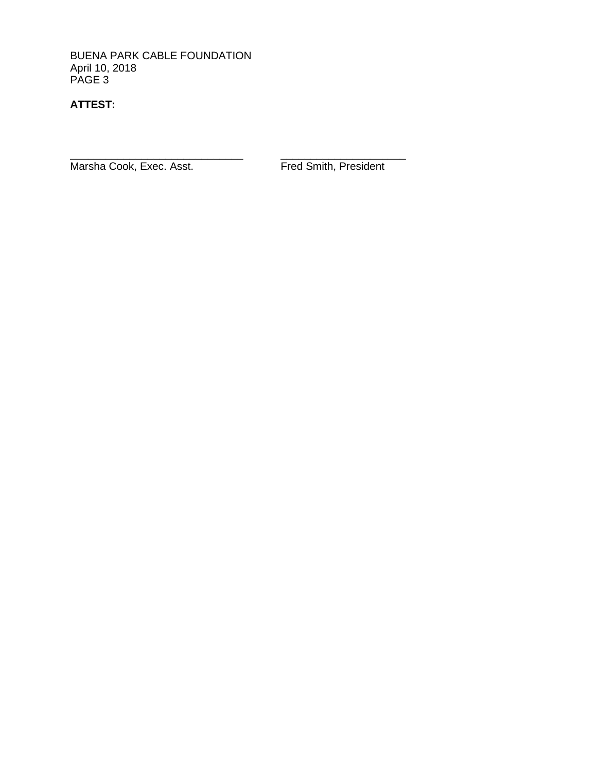BUENA PARK CABLE FOUNDATION April 10, 2018 PAGE 3

## **ATTEST:**

\_\_\_\_\_\_\_\_\_\_\_\_\_\_\_\_\_\_\_\_\_\_\_\_\_\_\_\_\_ \_\_\_\_\_\_\_\_\_\_\_\_\_\_\_\_\_\_\_\_\_ Marsha Cook, Exec. Asst. Fred Smith, President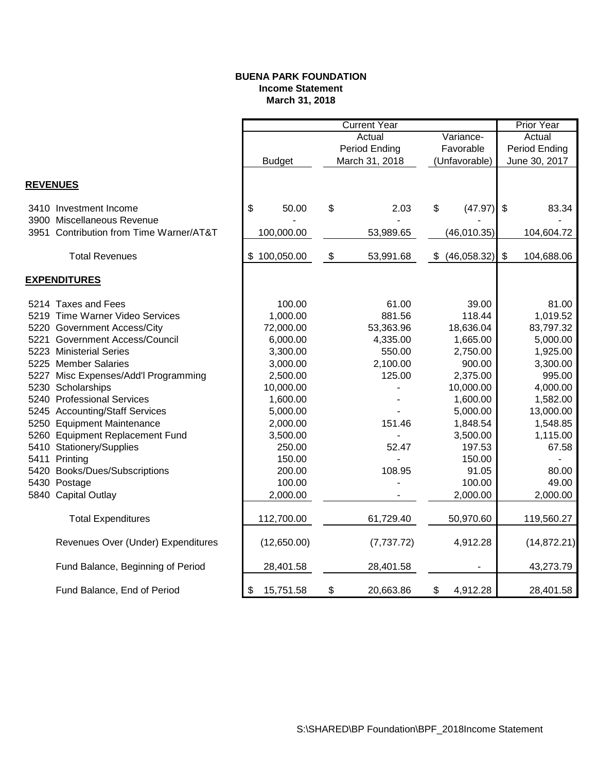#### **BUENA PARK FOUNDATION Income Statement March 31, 2018**

|                 |                                         | <b>Current Year</b> |              |                     |                |               |             | <b>Prior Year</b> |              |
|-----------------|-----------------------------------------|---------------------|--------------|---------------------|----------------|---------------|-------------|-------------------|--------------|
|                 |                                         |                     |              | Actual<br>Variance- |                |               |             | Actual            |              |
|                 |                                         |                     |              |                     | Period Ending  | Favorable     |             | Period Ending     |              |
|                 |                                         | <b>Budget</b>       |              |                     | March 31, 2018 | (Unfavorable) |             | June 30, 2017     |              |
|                 |                                         |                     |              |                     |                |               |             |                   |              |
| <b>REVENUES</b> |                                         |                     |              |                     |                |               |             |                   |              |
|                 | 3410 Investment Income                  | \$                  | 50.00        | \$                  | 2.03           | \$            | (47.97)     | $\mathfrak{s}$    | 83.34        |
|                 | 3900 Miscellaneous Revenue              |                     |              |                     |                |               |             |                   |              |
|                 | 3951 Contribution from Time Warner/AT&T |                     | 100,000.00   |                     | 53,989.65      |               | (46,010.35) |                   | 104,604.72   |
|                 | <b>Total Revenues</b>                   |                     | \$100,050.00 | \$                  | 53,991.68      | \$            | (46,058.32) | \$                | 104,688.06   |
|                 | <b>EXPENDITURES</b>                     |                     |              |                     |                |               |             |                   |              |
|                 |                                         |                     |              |                     |                |               |             |                   |              |
|                 | 5214 Taxes and Fees                     |                     | 100.00       |                     | 61.00          |               | 39.00       |                   | 81.00        |
|                 | 5219 Time Warner Video Services         |                     | 1,000.00     |                     | 881.56         |               | 118.44      |                   | 1,019.52     |
|                 | 5220 Government Access/City             |                     | 72,000.00    |                     | 53,363.96      |               | 18,636.04   |                   | 83,797.32    |
|                 | 5221 Government Access/Council          |                     | 6,000.00     |                     | 4,335.00       |               | 1,665.00    |                   | 5,000.00     |
|                 | 5223 Ministerial Series                 |                     | 3,300.00     |                     | 550.00         |               | 2,750.00    |                   | 1,925.00     |
|                 | 5225 Member Salaries                    |                     | 3,000.00     |                     | 2,100.00       |               | 900.00      |                   | 3,300.00     |
|                 | 5227 Misc Expenses/Add'l Programming    |                     | 2,500.00     |                     | 125.00         |               | 2,375.00    |                   | 995.00       |
|                 | 5230 Scholarships                       |                     | 10,000.00    |                     |                |               | 10,000.00   |                   | 4,000.00     |
|                 | 5240 Professional Services              |                     | 1,600.00     |                     |                |               | 1,600.00    |                   | 1,582.00     |
|                 | 5245 Accounting/Staff Services          |                     | 5,000.00     |                     |                |               | 5,000.00    |                   | 13,000.00    |
|                 | 5250 Equipment Maintenance              |                     | 2,000.00     |                     | 151.46         |               | 1,848.54    |                   | 1,548.85     |
|                 | 5260 Equipment Replacement Fund         |                     | 3,500.00     |                     |                |               | 3,500.00    |                   | 1,115.00     |
|                 | 5410 Stationery/Supplies                |                     | 250.00       |                     | 52.47          |               | 197.53      |                   | 67.58        |
|                 | 5411 Printing                           |                     | 150.00       |                     |                |               | 150.00      |                   |              |
|                 | 5420 Books/Dues/Subscriptions           |                     | 200.00       |                     | 108.95         |               | 91.05       |                   | 80.00        |
|                 | 5430 Postage                            |                     | 100.00       |                     |                |               | 100.00      |                   | 49.00        |
|                 | 5840 Capital Outlay                     |                     | 2,000.00     |                     |                |               | 2,000.00    |                   | 2,000.00     |
|                 | <b>Total Expenditures</b>               |                     | 112,700.00   |                     | 61,729.40      |               | 50,970.60   |                   | 119,560.27   |
|                 | Revenues Over (Under) Expenditures      |                     | (12,650.00)  |                     | (7, 737.72)    |               | 4,912.28    |                   | (14, 872.21) |
|                 | Fund Balance, Beginning of Period       |                     | 28,401.58    |                     | 28,401.58      |               |             |                   | 43,273.79    |
|                 | Fund Balance, End of Period             | \$                  | 15,751.58    | \$                  | 20,663.86      | \$            | 4,912.28    |                   | 28,401.58    |